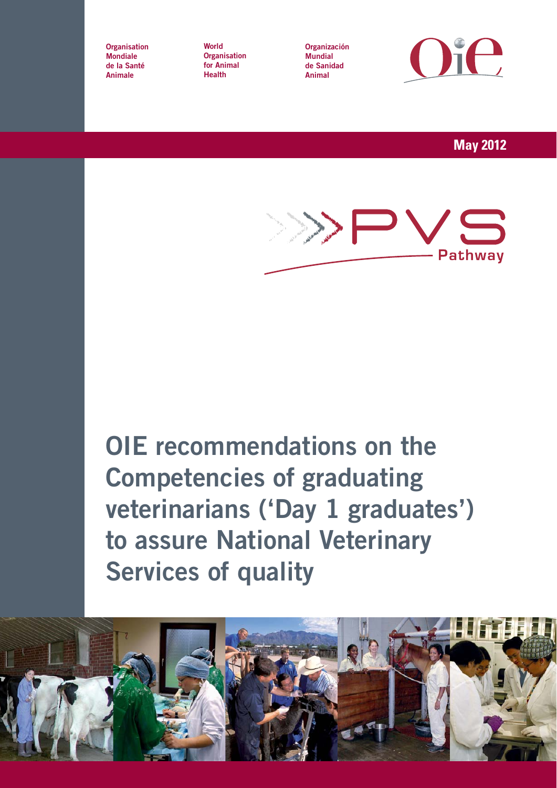**Organisation Mondiale de la Santé Animale**

**World Organisation for Animal Health**

**Organización Mundial de Sanidad Animal**



**May 2012**



**OIE recommendations on the Competencies of graduating veterinarians ('Day 1 graduates') to assure National Veterinary Services of quality**

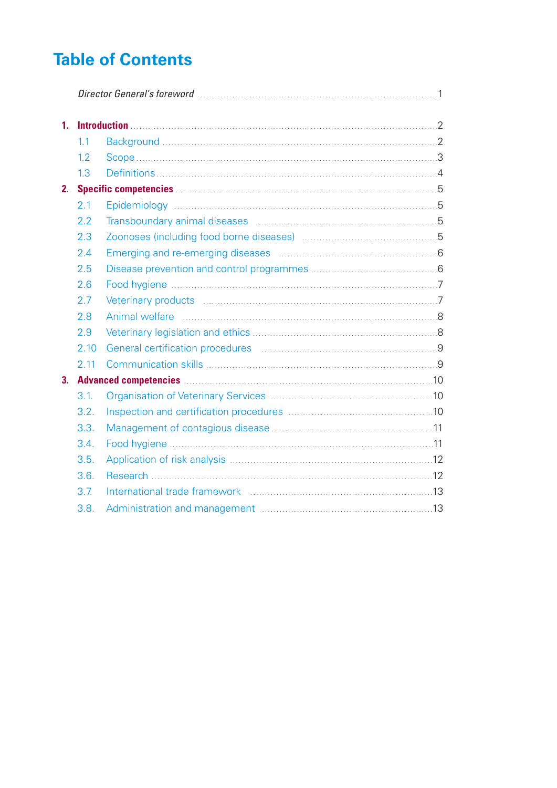# **Table of Contents**

| 1.             |      |                                                                                                                        |  |
|----------------|------|------------------------------------------------------------------------------------------------------------------------|--|
|                | 1.1  |                                                                                                                        |  |
|                | 1.2  |                                                                                                                        |  |
|                | 1.3  |                                                                                                                        |  |
| 2.             |      |                                                                                                                        |  |
|                | 2.1  |                                                                                                                        |  |
|                | 2.2  |                                                                                                                        |  |
|                | 2.3  |                                                                                                                        |  |
|                | 2.4  |                                                                                                                        |  |
|                | 2.5  |                                                                                                                        |  |
|                | 2.6  |                                                                                                                        |  |
|                | 2.7  |                                                                                                                        |  |
|                | 2.8  |                                                                                                                        |  |
|                | 2.9  |                                                                                                                        |  |
|                | 2.10 | General certification procedures <b>Manual Constantino Constantino Constantino Constantino Constantino Constantino</b> |  |
|                | 2.11 |                                                                                                                        |  |
| 3 <sub>1</sub> |      |                                                                                                                        |  |
|                | 3.1. |                                                                                                                        |  |
|                | 3.2. |                                                                                                                        |  |
|                | 3.3. |                                                                                                                        |  |
|                | 3.4. |                                                                                                                        |  |
|                | 3.5. |                                                                                                                        |  |
|                | 3.6. |                                                                                                                        |  |
|                | 3.7. |                                                                                                                        |  |
|                | 3.8. |                                                                                                                        |  |
|                |      |                                                                                                                        |  |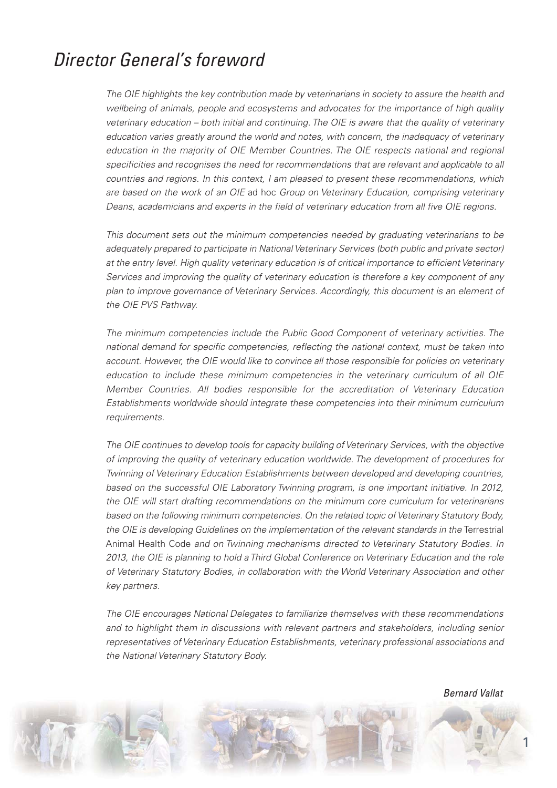# *Director General's foreword*

*The OIE highlights the key contribution made by veterinarians in society to assure the health and wellbeing of animals, people and ecosystems and advocates for the importance of high quality veterinary education – both initial and continuing. The OIE is aware that the quality of veterinary education varies greatly around the world and notes, with concern, the inadequacy of veterinary education in the majority of OIE Member Countries. The OIE respects national and regional specificities and recognises the need for recommendations that are relevant and applicable to all countries and regions. In this context, I am pleased to present these recommendations, which are based on the work of an OIE ad hoc Group on Veterinary Education, comprising veterinary Deans, academicians and experts in the field of veterinary education from all five OIE regions.* 

*This document sets out the minimum competencies needed by graduating veterinarians to be adequately prepared to participate in National Veterinary Services (both public and private sector) at the entry level. High quality veterinary education is of critical importance to efficient Veterinary Services and improving the quality of veterinary education is therefore a key component of any plan to improve governance of Veterinary Services. Accordingly, this document is an element of the OIE PVS Pathway.* 

*The minimum competencies include the Public Good Component of veterinary activities. The national demand for specific competencies, reflecting the national context, must be taken into account. However, the OIE would like to convince all those responsible for policies on veterinary education to include these minimum competencies in the veterinary curriculum of all OIE Member Countries. All bodies responsible for the accreditation of Veterinary Education Establishments worldwide should integrate these competencies into their minimum curriculum requirements.*

*The OIE continues to develop tools for capacity building of Veterinary Services, with the objective of improving the quality of veterinary education worldwide. The development of procedures for Twinning of Veterinary Education Establishments between developed and developing countries, based on the successful OIE Laboratory Twinning program, is one important initiative. In 2012, the OIE will start drafting recommendations on the minimum core curriculum for veterinarians based on the following minimum competencies. On the related topic of Veterinary Statutory Body, the OIE is developing Guidelines on the implementation of the relevant standards in the Terrestrial Animal Health Code and on Twinning mechanisms directed to Veterinary Statutory Bodies. In 2013, the OIE is planning to hold a Third Global Conference on Veterinary Education and the role of Veterinary Statutory Bodies, in collaboration with the World Veterinary Association and other key partners.* 

*The OIE encourages National Delegates to familiarize themselves with these recommendations and to highlight them in discussions with relevant partners and stakeholders, including senior representatives of Veterinary Education Establishments, veterinary professional associations and the National Veterinary Statutory Body.* 

*Bernard Vallat*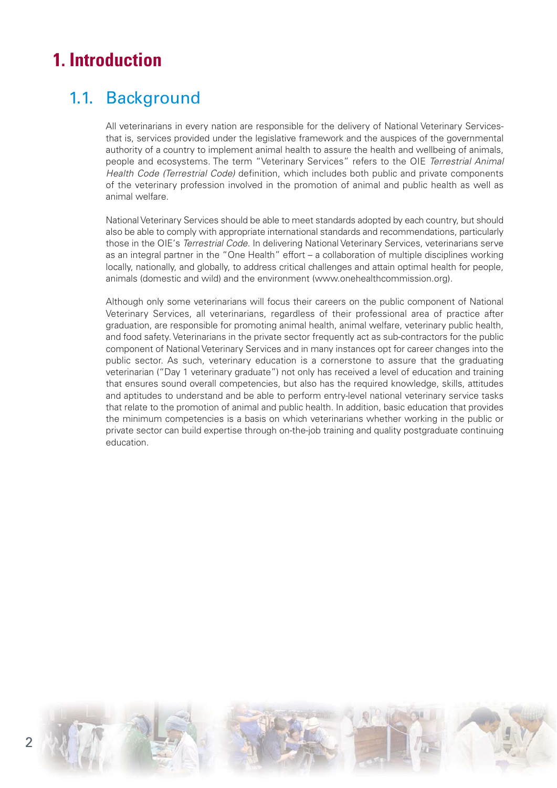# **1. Introduction**

## 1.1. Background

*All veterinarians in every nation are responsible for the delivery of National Veterinary Servicesthat is, services provided under the legislative framework and the auspices of the governmental authority of a country to implement animal health to assure the health and wellbeing of animals,* people and ecosystems. The term "Veterinary Services" refers to the OIE *Terrestrial Animal Health Code (Terrestrial Code) definition, which includes both public and private components of the veterinary profession involved in the promotion of animal and public health as well as animal welfare.*

*National Veterinary Services should be able to meet standards adopted by each country, but should also be able to comply with appropriate international standards and recommendations, particularly those in the OIE's Terrestrial Code. In delivering National Veterinary Services, veterinarians serve as an integral partner in the "One Health" effort – a collaboration of multiple disciplines working locally, nationally, and globally, to address critical challenges and attain optimal health for people, animals (domestic and wild) and the environment (www.onehealthcommission.org).* 

*Although only some veterinarians will focus their careers on the public component of National Veterinary Services, all veterinarians, regardless of their professional area of practice after graduation, are responsible for promoting animal health, animal welfare, veterinary public health, and food safety. Veterinarians in the private sector frequently act as sub-contractors for the public component of National Veterinary Services and in many instances opt for career changes into the public sector. As such, veterinary education is a cornerstone to assure that the graduating veterinarian ("Day 1 veterinary graduate") not only has received a level of education and training that ensures sound overall competencies, but also has the required knowledge, skills, attitudes and aptitudes to understand and be able to perform entry-level national veterinary service tasks that relate to the promotion of animal and public health. In addition, basic education that provides the minimum competencies is a basis on which veterinarians whether working in the public or private sector can build expertise through on-the-job training and quality postgraduate continuing education.*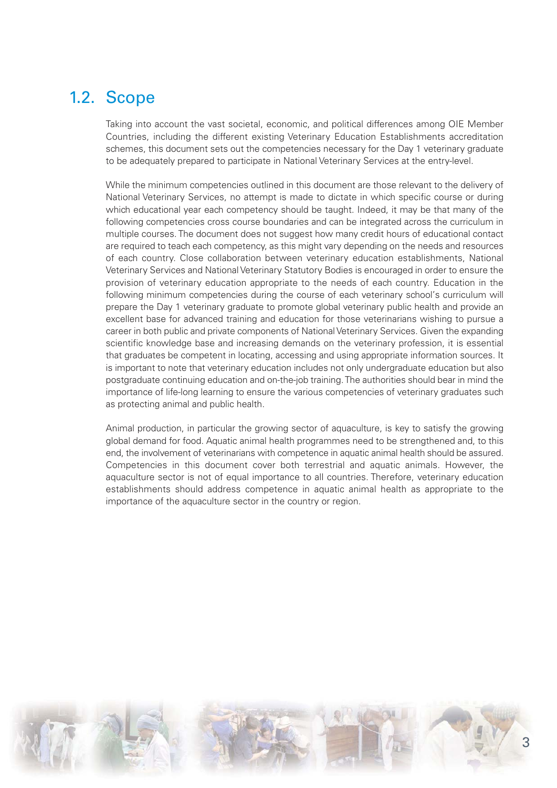#### 1.2. Scope

*Taking into account the vast societal, economic, and political differences among OIE Member Countries, including the different existing Veterinary Education Establishments accreditation schemes, this document sets out the competencies necessary for the Day 1 veterinary graduate* to be adequately prepared to participate in National Veterinary Services at the entry-level.

*While the minimum competencies outlined in this document are those relevant to the delivery of National Veterinary Services, no attempt is made to dictate in which specific course or during which educational year each competency should be taught. Indeed, it may be that many of the following competencies cross course boundaries and can be integrated across the curriculum in multiple courses. The document does not suggest how many credit hours of educational contact are required to teach each competency, as this might vary depending on the needs and resources of each country. Close collaboration between veterinary education establishments, National Veterinary Services and National Veterinary Statutory Bodies is encouraged in order to ensure the provision of veterinary education appropriate to the needs of each country. Education in the* following minimum competencies during the course of each veterinary school's curriculum will *prepare the Day 1 veterinary graduate to promote global veterinary public health and provide an excellent base for advanced training and education for those veterinarians wishing to pursue a career in both public and private components of National Veterinary Services. Given the expanding scientific knowledge base and increasing demands on the veterinary profession, it is essential that graduates be competent in locating, accessing and using appropriate information sources. It is important to note that veterinary education includes not only undergraduate education but also postgraduate continuing education and on-the-job training. The authorities should bear in mind the importance of life-long learning to ensure the various competencies of veterinary graduates such as protecting animal and public health.*

*Animal production, in particular the growing sector of aquaculture, is key to satisfy the growing global demand for food. Aquatic animal health programmes need to be strengthened and, to this end, the involvement of veterinarians with competence in aquatic animal health should be assured. Competencies in this document cover both terrestrial and aquatic animals. However, the aquaculture sector is not of equal importance to all countries. Therefore, veterinary education establishments should address competence in aquatic animal health as appropriate to the importance of the aquaculture sector in the country or region.*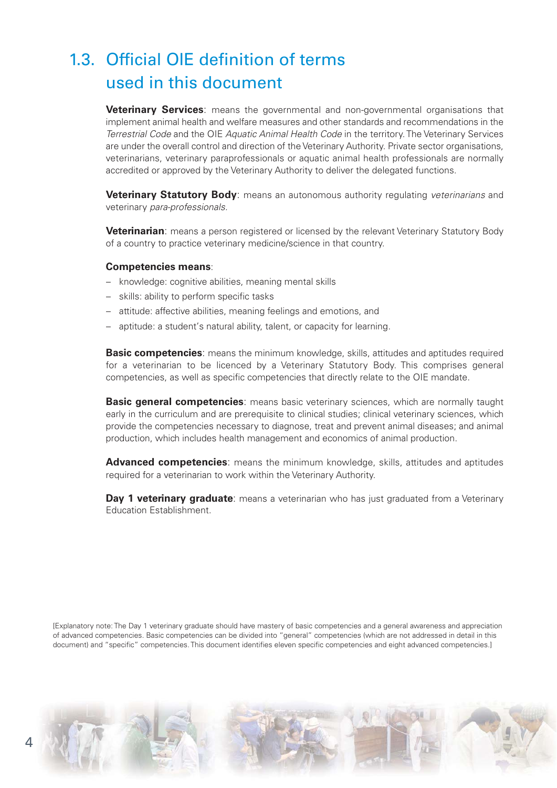# 1.3. Official OIE definition of terms used in this document

**Veterinary Services***: means the governmental and non-governmental organisations that implement animal health and welfare measures and other standards and recommendations in the Terrestrial Code and the OIE Aquatic Animal Health Code in the territory. The Veterinary Services are under the overall control and direction of the Veterinary Authority. Private sector organisations, veterinarians, veterinary paraprofessionals or aquatic animal health professionals are normally accredited or approved by the Veterinary Authority to deliver the delegated functions.*

**Veterinary Statutory Body***: means an autonomous authority regulating veterinarians and veterinary para-professionals.*

**Veterinarian***: means a person registered or licensed by the relevant Veterinary Statutory Body of a country to practice veterinary medicine/science in that country.*

#### **Competencies means***:*

- *knowledge: cognitive abilities, meaning mental skills*
- *skills: ability to perform specific tasks*
- *attitude: affective abilities, meaning feelings and emotions, and*
- *aptitude: a student's natural ability, talent, or capacity for learning.*

**Basic competencies***: means the minimum knowledge, skills, attitudes and aptitudes required for a veterinarian to be licenced by a Veterinary Statutory Body. This comprises general competencies, as well as specific competencies that directly relate to the OIE mandate.* 

**Basic general competencies***: means basic veterinary sciences, which are normally taught early in the curriculum and are prerequisite to clinical studies; clinical veterinary sciences, which provide the competencies necessary to diagnose, treat and prevent animal diseases; and animal production, which includes health management and economics of animal production.* 

**Advanced competencies***: means the minimum knowledge, skills, attitudes and aptitudes required for a veterinarian to work within the Veterinary Authority.*

**Day 1 veterinary graduate***: means a veterinarian who has just graduated from a Veterinary Education Establishment.*

*[Explanatory note: The Day 1 veterinary graduate should have mastery of basic competencies and a general awareness and appreciation of advanced competencies. Basic competencies can be divided into "general" competencies (which are not addressed in detail in this document) and "specific" competencies. This document identifies eleven specific competencies and eight advanced competencies.]*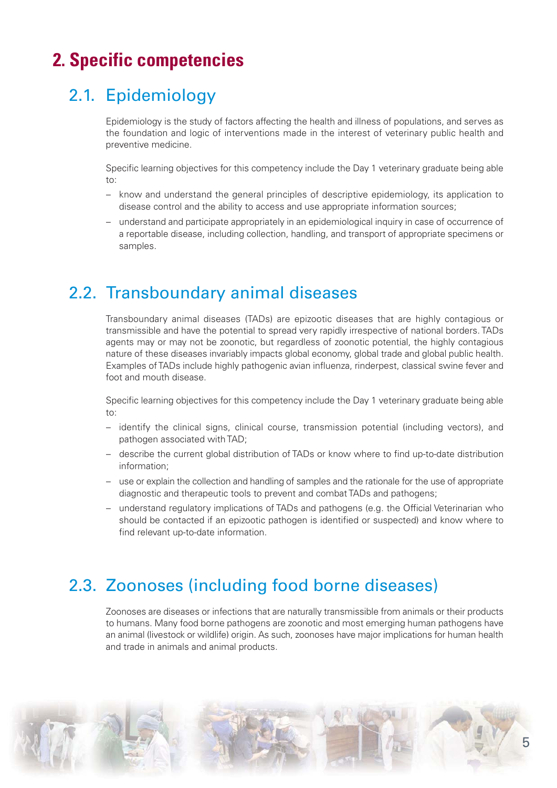# **2. Specific competencies**

# 2.1. Epidemiology

*Epidemiology is the study of factors affecting the health and illness of populations, and serves as the foundation and logic of interventions made in the interest of veterinary public health and preventive medicine.* 

*Specific learning objectives for this competency include the Day 1 veterinary graduate being able to:* 

- *know and understand the general principles of descriptive epidemiology, its application to disease control and the ability to access and use appropriate information sources;*
- *understand and participate appropriately in an epidemiological inquiry in case of occurrence of a reportable disease, including collection, handling, and transport of appropriate specimens or samples.*

#### 2.2. Transboundary animal diseases

*Transboundary animal diseases (TADs) are epizootic diseases that are highly contagious or transmissible and have the potential to spread very rapidly irrespective of national borders. TADs agents may or may not be zoonotic, but regardless of zoonotic potential, the highly contagious nature of these diseases invariably impacts global economy, global trade and global public health. Examples of TADs include highly pathogenic avian influenza, rinderpest, classical swine fever and foot and mouth disease.* 

*Specific learning objectives for this competency include the Day 1 veterinary graduate being able to:* 

- *identify the clinical signs, clinical course, transmission potential (including vectors), and pathogen associated with TAD;*
- *describe the current global distribution of TADs or know where to find up-to-date distribution information;*
- *use or explain the collection and handling of samples and the rationale for the use of appropriate diagnostic and therapeutic tools to prevent and combat TADs and pathogens;*
- *understand regulatory implications of TADs and pathogens (e.g. the Official Veterinarian who should be contacted if an epizootic pathogen is identified or suspected) and know where to find relevant up-to-date information.*

# 2.3. Zoonoses (including food borne diseases)

*Zoonoses are diseases or infections that are naturally transmissible from animals or their products to humans. Many food borne pathogens are zoonotic and most emerging human pathogens have an animal (livestock or wildlife) origin. As such, zoonoses have major implications for human health and trade in animals and animal products.* 

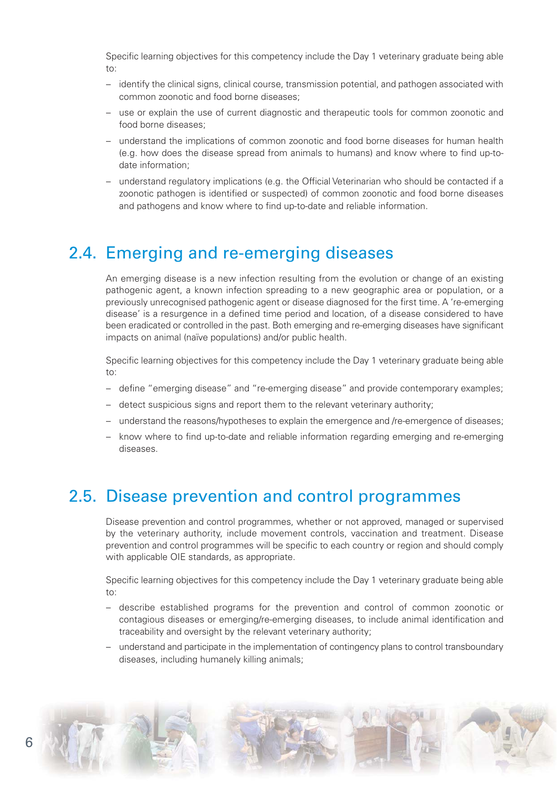*Specific learning objectives for this competency include the Day 1 veterinary graduate being able to:* 

- *identify the clinical signs, clinical course, transmission potential, and pathogen associated with common zoonotic and food borne diseases;*
- *use or explain the use of current diagnostic and therapeutic tools for common zoonotic and food borne diseases;*
- *understand the implications of common zoonotic and food borne diseases for human health (e.g. how does the disease spread from animals to humans) and know where to find up-todate information;*
- *understand regulatory implications (e.g. the Official Veterinarian who should be contacted if a zoonotic pathogen is identified or suspected) of common zoonotic and food borne diseases and pathogens and know where to find up-to-date and reliable information.*

#### 2.4. Emerging and re-emerging diseases

*An emerging disease is a new infection resulting from the evolution or change of an existing pathogenic agent, a known infection spreading to a new geographic area or population, or a previously unrecognised pathogenic agent or disease diagnosed for the first time. A 're-emerging disease' is a resurgence in a defined time period and location, of a disease considered to have been eradicated or controlled in the past. Both emerging and re-emerging diseases have significant impacts on animal (naïve populations) and/or public health.* 

*Specific learning objectives for this competency include the Day 1 veterinary graduate being able to:*

- *define "emerging disease" and "re-emerging disease" and provide contemporary examples;*
- *detect suspicious signs and report them to the relevant veterinary authority;*
- *understand the reasons/hypotheses to explain the emergence and /re-emergence of diseases;*
- *know where to find up-to-date and reliable information regarding emerging and re-emerging diseases.*

#### 2.5. Disease prevention and control programmes

*Disease prevention and control programmes, whether or not approved, managed or supervised by the veterinary authority, include movement controls, vaccination and treatment. Disease prevention and control programmes will be specific to each country or region and should comply with applicable OIE standards, as appropriate.* 

- *describe established programs for the prevention and control of common zoonotic or contagious diseases or emerging/re-emerging diseases, to include animal identification and traceability and oversight by the relevant veterinary authority;*
- *understand and participate in the implementation of contingency plans to control transboundary diseases, including humanely killing animals;*

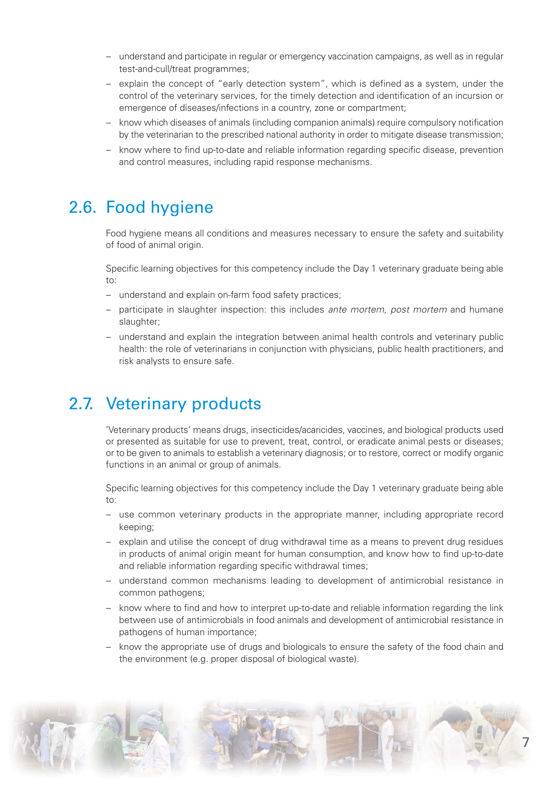- *understand and participate in regular or emergency vaccination campaigns, as well as in regular test-and-cull/treat programmes;*
- *explain the concept of "early detection system", which is defined as a system, under the control of the veterinary services, for the timely detection and identification of an incursion or emergence of diseases/infections in a country, zone or compartment;*
- *know which diseases of animals (including companion animals) require compulsory notification by the veterinarian to the prescribed national authority in order to mitigate disease transmission;*
- *know where to find up-to-date and reliable information regarding specific disease, prevention and control measures, including rapid response mechanisms.*

#### 2.6. Food hygiene

*Food hygiene means all conditions and measures necessary to ensure the safety and suitability of food of animal origin.*

*Specific learning objectives for this competency include the Day 1 veterinary graduate being able to:* 

- *understand and explain on-farm food safety practices;*
- *participate in slaughter inspection: this includes ante mortem, post mortem and humane slaughter;*
- *understand and explain the integration between animal health controls and veterinary public health: the role of veterinarians in conjunction with physicians, public health practitioners, and risk analysts to ensure safe.*

### 2.7. Veterinary products

*'Veterinary products' means drugs, insecticides/acaricides, vaccines, and biological products used or presented as suitable for use to prevent, treat, control, or eradicate animal pests or diseases; or to be given to animals to establish a veterinary diagnosis; or to restore, correct or modify organic functions in an animal or group of animals.* 

- *use common veterinary products in the appropriate manner, including appropriate record keeping;*
- *explain and utilise the concept of drug withdrawal time as a means to prevent drug residues in products of animal origin meant for human consumption, and know how to find up-to-date and reliable information regarding specific withdrawal times;*
- *understand common mechanisms leading to development of antimicrobial resistance in common pathogens;*
- *know where to find and how to interpret up-to-date and reliable information regarding the link between use of antimicrobials in food animals and development of antimicrobial resistance in pathogens of human importance;*
- *know the appropriate use of drugs and biologicals to ensure the safety of the food chain and the environment (e.g. proper disposal of biological waste).*

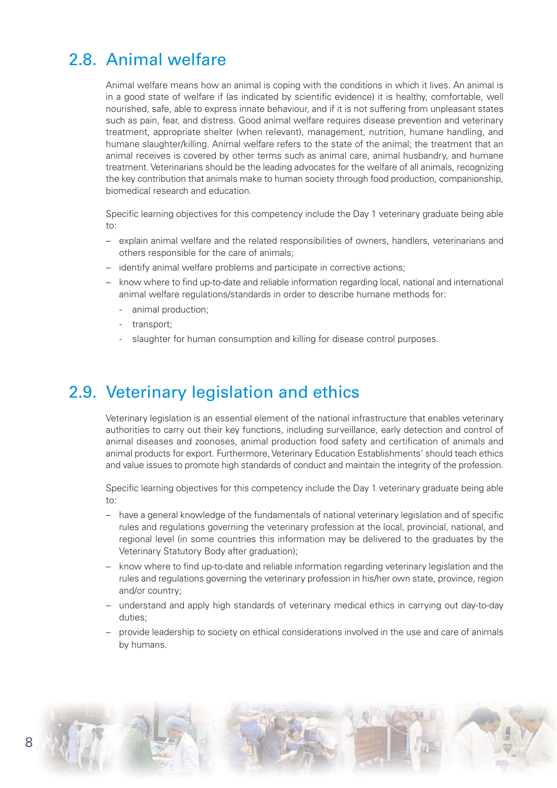### 2.8. Animal welfare

*Animal welfare means how an animal is coping with the conditions in which it lives. An animal is in a good state of welfare if (as indicated by scientific evidence) it is healthy, comfortable, well nourished, safe, able to express innate behaviour, and if it is not suffering from unpleasant states such as pain, fear, and distress. Good animal welfare requires disease prevention and veterinary treatment, appropriate shelter (when relevant), management, nutrition, humane handling, and humane slaughter/killing. Animal welfare refers to the state of the animal; the treatment that an animal receives is covered by other terms such as animal care, animal husbandry, and humane treatment. Veterinarians should be the leading advocates for the welfare of all animals, recognizing the key contribution that animals make to human society through food production, companionship, biomedical research and education.* 

*Specific learning objectives for this competency include the Day 1 veterinary graduate being able to:* 

- *explain animal welfare and the related responsibilities of owners, handlers, veterinarians and others responsible for the care of animals;*
- *identify animal welfare problems and participate in corrective actions;*
- *know where to find up-to-date and reliable information regarding local, national and international animal welfare regulations/standards in order to describe humane methods for:*
	- *animal production;*
	- *transport;*
	- *slaughter for human consumption and killing for disease control purposes.*

#### 2.9. Veterinary legislation and ethics

*Veterinary legislation is an essential element of the national infrastructure that enables veterinary authorities to carry out their key functions, including surveillance, early detection and control of animal diseases and zoonoses, animal production food safety and certification of animals and animal products for export. Furthermore, Veterinary Education Establishments' should teach ethics and value issues to promote high standards of conduct and maintain the integrity of the profession.*

- *have a general knowledge of the fundamentals of national veterinary legislation and of specific rules and regulations governing the veterinary profession at the local, provincial, national, and regional level (in some countries this information may be delivered to the graduates by the Veterinary Statutory Body after graduation);*
- *know where to find up-to-date and reliable information regarding veterinary legislation and the rules and regulations governing the veterinary profession in his/her own state, province, region and/or country;*
- *understand and apply high standards of veterinary medical ethics in carrying out day-to-day duties;*
- *provide leadership to society on ethical considerations involved in the use and care of animals by humans.*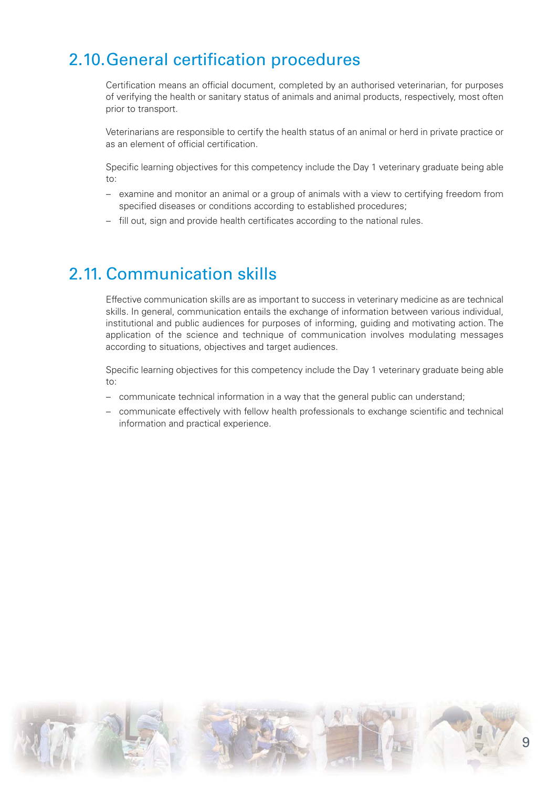# 2.10.General certification procedures

*Certification means an official document, completed by an authorised veterinarian, for purposes of verifying the health or sanitary status of animals and animal products, respectively, most often prior to transport.* 

*Veterinarians are responsible to certify the health status of an animal or herd in private practice or as an element of official certification.*

*Specific learning objectives for this competency include the Day 1 veterinary graduate being able to:* 

- *examine and monitor an animal or a group of animals with a view to certifying freedom from specified diseases or conditions according to established procedures;*
- *fill out, sign and provide health certificates according to the national rules.*

#### 2.11. Communication skills

*Effective communication skills are as important to success in veterinary medicine as are technical skills. In general, communication entails the exchange of information between various individual, institutional and public audiences for purposes of informing, guiding and motivating action. The application of the science and technique of communication involves modulating messages according to situations, objectives and target audiences.*

- *communicate technical information in a way that the general public can understand;*
- *communicate effectively with fellow health professionals to exchange scientific and technical information and practical experience.*

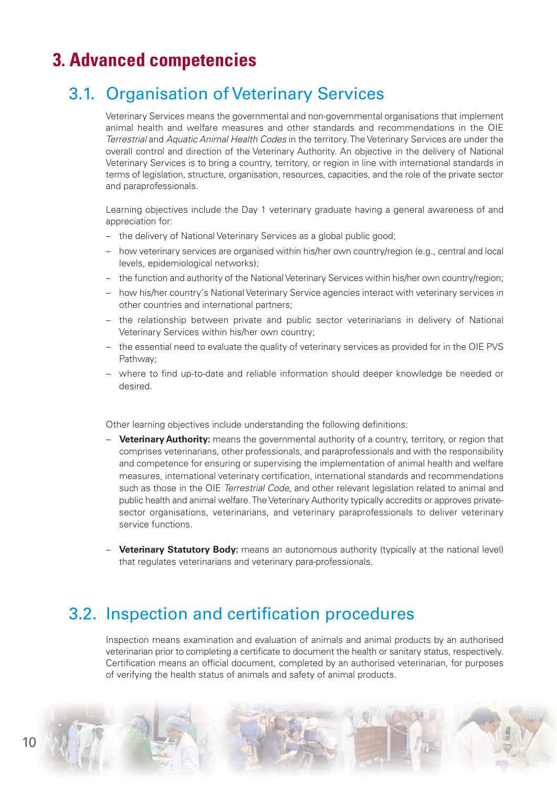# **3. Advanced competencies**

# 3.1. Organisation of Veterinary Services

*Veterinary Services means the governmental and non-governmental organisations that implement animal health and welfare measures and other standards and recommendations in the OIE Terrestrial and Aquatic Animal Health Codes in the territory. The Veterinary Services are under the overall control and direction of the Veterinary Authority. An objective in the delivery of National Veterinary Services is to bring a country, territory, or region in line with international standards in terms of legislation, structure, organisation, resources, capacities, and the role of the private sector and paraprofessionals.*

*Learning objectives include the Day 1 veterinary graduate having a general awareness of and appreciation for:* 

- *the delivery of National Veterinary Services as a global public good;*
- *how veterinary services are organised within his/her own country/region (e.g., central and local levels, epidemiological networks);*
- *the function and authority of the National Veterinary Services within his/her own country/region;*
- *how his/her country's National Veterinary Service agencies interact with veterinary services in other countries and international partners;*
- *the relationship between private and public sector veterinarians in delivery of National Veterinary Services within his/her own country;*
- *the essential need to evaluate the quality of veterinary services as provided for in the OIE PVS Pathway;*
- *where to find up-to-date and reliable information should deeper knowledge be needed or desired.*

*Other learning objectives include understanding the following definitions:* 

- *–* **Veterinary Authority:** *means the governmental authority of a country, territory, or region that comprises veterinarians, other professionals, and paraprofessionals and with the responsibility and competence for ensuring or supervising the implementation of animal health and welfare measures, international veterinary certification, international standards and recommendations such as those in the OIE Terrestrial Code, and other relevant legislation related to animal and public health and animal welfare. The Veterinary Authority typically accredits or approves privatesector organisations, veterinarians, and veterinary paraprofessionals to deliver veterinary service functions.*
- *–* **Veterinary Statutory Body:** *means an autonomous authority (typically at the national level) that regulates veterinarians and veterinary para-professionals.*

#### 3.2. Inspection and certification procedures

*Inspection means examination and evaluation of animals and animal products by an authorised veterinarian prior to completing a certificate to document the health or sanitary status, respectively. Certification means an official document, completed by an authorised veterinarian, for purposes of verifying the health status of animals and safety of animal products.*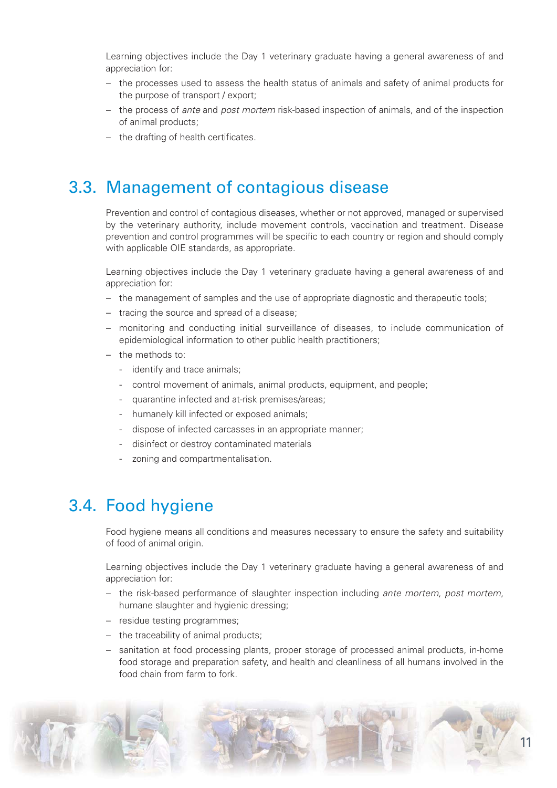*Learning objectives include the Day 1 veterinary graduate having a general awareness of and appreciation for:* 

- *the processes used to assess the health status of animals and safety of animal products for the purpose of transport / export;*
- *the process of ante and post mortem risk-based inspection of animals, and of the inspection of animal products;*
- *the drafting of health certificates.*

#### 3.3. Management of contagious disease

*Prevention and control of contagious diseases, whether or not approved, managed or supervised by the veterinary authority, include movement controls, vaccination and treatment. Disease prevention and control programmes will be specific to each country or region and should comply with applicable OIE standards, as appropriate.* 

*Learning objectives include the Day 1 veterinary graduate having a general awareness of and appreciation for:* 

- *the management of samples and the use of appropriate diagnostic and therapeutic tools;*
- *tracing the source and spread of a disease;*
- *monitoring and conducting initial surveillance of diseases, to include communication of epidemiological information to other public health practitioners;*
- *the methods to:*
	- *identify and trace animals;*
	- *control movement of animals, animal products, equipment, and people;*
	- *quarantine infected and at-risk premises/areas;*
	- *humanely kill infected or exposed animals;*
	- *dispose of infected carcasses in an appropriate manner;*
	- *disinfect or destroy contaminated materials*
	- *zoning and compartmentalisation.*

#### 3.4. Food hygiene

*Food hygiene means all conditions and measures necessary to ensure the safety and suitability of food of animal origin.*

*Learning objectives include the Day 1 veterinary graduate having a general awareness of and appreciation for:* 

- *the risk-based performance of slaughter inspection including ante mortem, post mortem, humane slaughter and hygienic dressing;*
- *residue testing programmes;*
- *the traceability of animal products;*
- *sanitation at food processing plants, proper storage of processed animal products, in-home food storage and preparation safety, and health and cleanliness of all humans involved in the food chain from farm to fork.*

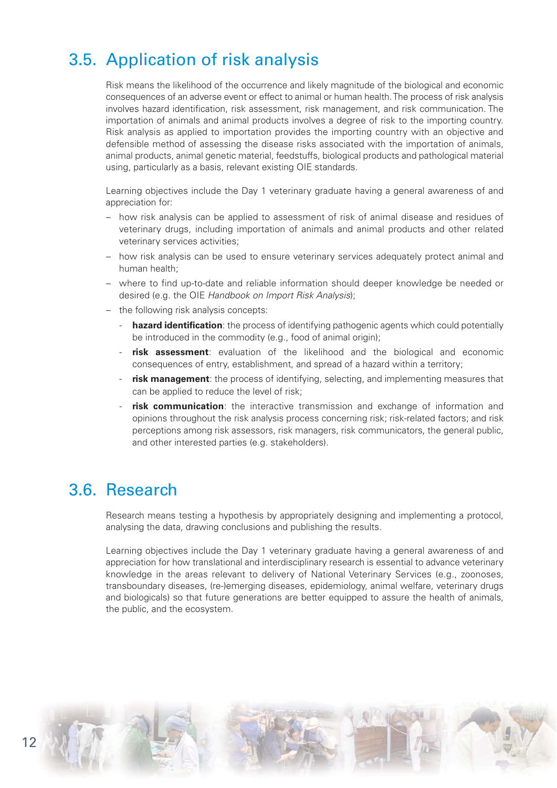# 3.5. Application of risk analysis

*Risk means the likelihood of the occurrence and likely magnitude of the biological and economic consequences of an adverse event or effect to animal or human health. The process of risk analysis involves hazard identification, risk assessment, risk management, and risk communication. The importation of animals and animal products involves a degree of risk to the importing country. Risk analysis as applied to importation provides the importing country with an objective and defensible method of assessing the disease risks associated with the importation of animals, animal products, animal genetic material, feedstuffs, biological products and pathological material using, particularly as a basis, relevant existing OIE standards.*

*Learning objectives include the Day 1 veterinary graduate having a general awareness of and appreciation for:* 

- *how risk analysis can be applied to assessment of risk of animal disease and residues of veterinary drugs, including importation of animals and animal products and other related veterinary services activities;*
- *how risk analysis can be used to ensure veterinary services adequately protect animal and human health;*
- *where to find up-to-date and reliable information should deeper knowledge be needed or desired (e.g. the OIE Handbook on Import Risk Analysis);*
- *the following risk analysis concepts:* 
	- *-* **hazard identification***: the process of identifying pathogenic agents which could potentially be introduced in the commodity (e.g., food of animal origin);*
	- *-* **risk assessment***: evaluation of the likelihood and the biological and economic consequences of entry, establishment, and spread of a hazard within a territory;*
	- *-* **risk management***: the process of identifying, selecting, and implementing measures that can be applied to reduce the level of risk;*
	- *-* **risk communication***: the interactive transmission and exchange of information and opinions throughout the risk analysis process concerning risk; risk-related factors; and risk perceptions among risk assessors, risk managers, risk communicators, the general public, and other interested parties (e.g. stakeholders).*

#### 3.6. Research

*Research means testing a hypothesis by appropriately designing and implementing a protocol, analysing the data, drawing conclusions and publishing the results.* 

*Learning objectives include the Day 1 veterinary graduate having a general awareness of and appreciation for how translational and interdisciplinary research is essential to advance veterinary knowledge in the areas relevant to delivery of National Veterinary Services (e.g., zoonoses, transboundary diseases, (re-)emerging diseases, epidemiology, animal welfare, veterinary drugs and biologicals) so that future generations are better equipped to assure the health of animals, the public, and the ecosystem.*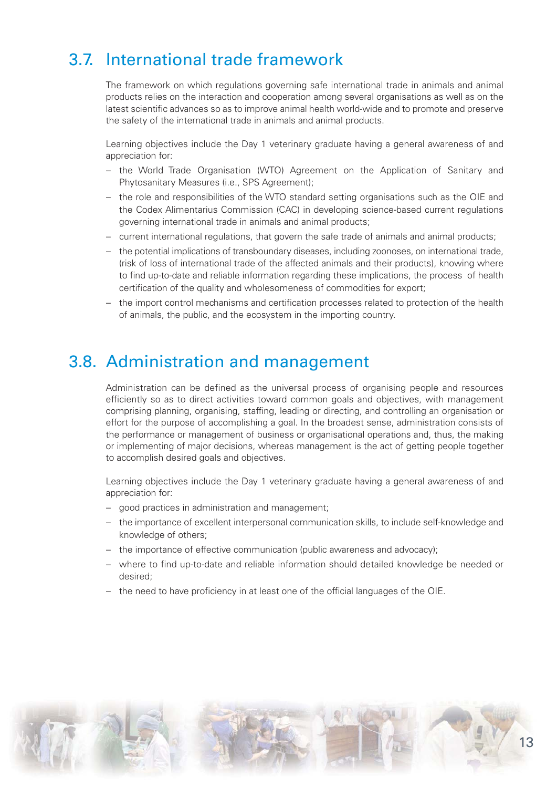## 3.7. International trade framework

*The framework on which regulations governing safe international trade in animals and animal products relies on the interaction and cooperation among several organisations as well as on the latest scientific advances so as to improve animal health world-wide and to promote and preserve the safety of the international trade in animals and animal products.* 

*Learning objectives include the Day 1 veterinary graduate having a general awareness of and appreciation for:* 

- *the World Trade Organisation (WTO) Agreement on the Application of Sanitary and Phytosanitary Measures (i.e., SPS Agreement);*
- *the role and responsibilities of the WTO standard setting organisations such as the OIE and the Codex Alimentarius Commission (CAC) in developing science-based current regulations governing international trade in animals and animal products;*
- *current international regulations, that govern the safe trade of animals and animal products;*
- *the potential implications of transboundary diseases, including zoonoses, on international trade, (risk of loss of international trade of the affected animals and their products), knowing where to find up-to-date and reliable information regarding these implications, the process of health certification of the quality and wholesomeness of commodities for export;*
- *the import control mechanisms and certification processes related to protection of the health of animals, the public, and the ecosystem in the importing country.*

#### 3.8. Administration and management

*Administration can be defined as the universal process of organising people and resources efficiently so as to direct activities toward common goals and objectives, with management comprising planning, organising, staffing, leading or directing, and controlling an organisation or effort for the purpose of accomplishing a goal. In the broadest sense, administration consists of the performance or management of business or organisational operations and, thus, the making or implementing of major decisions, whereas management is the act of getting people together to accomplish desired goals and objectives.* 

*Learning objectives include the Day 1 veterinary graduate having a general awareness of and appreciation for:* 

- *good practices in administration and management;*
- *the importance of excellent interpersonal communication skills, to include self-knowledge and knowledge of others;*
- *the importance of effective communication (public awareness and advocacy);*
- *where to find up-to-date and reliable information should detailed knowledge be needed or desired;*
- *the need to have proficiency in at least one of the official languages of the OIE.*